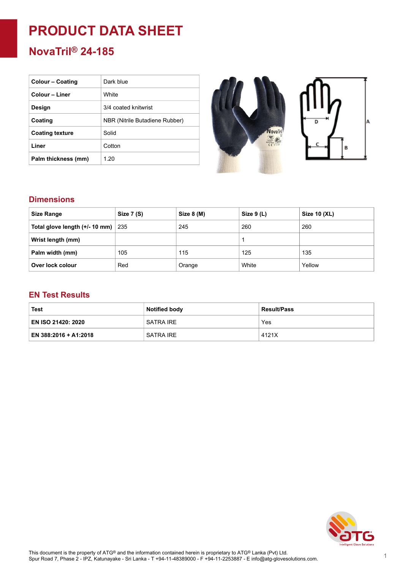# **PRODUCT DATA SHEET**

## **NovaTril® 24-185**

| <b>Colour – Coating</b> | Dark blue                      |
|-------------------------|--------------------------------|
| Colour – Liner          | White                          |
| Design                  | 3/4 coated knitwrist           |
| Coating                 | NBR (Nitrile Butadiene Rubber) |
| <b>Coating texture</b>  | Solid                          |
| Liner                   | Cotton                         |
| Palm thickness (mm)     | 1.20                           |



#### **Dimensions**

| <b>Size Range</b>              | Size 7 (S) | Size 8 (M) | Size $9(L)$ | Size 10 (XL) |
|--------------------------------|------------|------------|-------------|--------------|
| Total glove length (+/- 10 mm) | 235        | 245        | 260         | 260          |
| Wrist length (mm)              |            |            |             |              |
| Palm width (mm)                | 105        | 115        | 125         | 135          |
| Over lock colour               | Red        | Orange     | White       | Yellow       |

#### **EN Test Results**

| Test                  | <b>Notified body</b> | <b>Result/Pass</b> |
|-----------------------|----------------------|--------------------|
| EN ISO 21420: 2020    | ' SATRA IRE          | Yes                |
| EN 388:2016 + A1:2018 | <b>SATRA IRE</b>     | 4121X              |

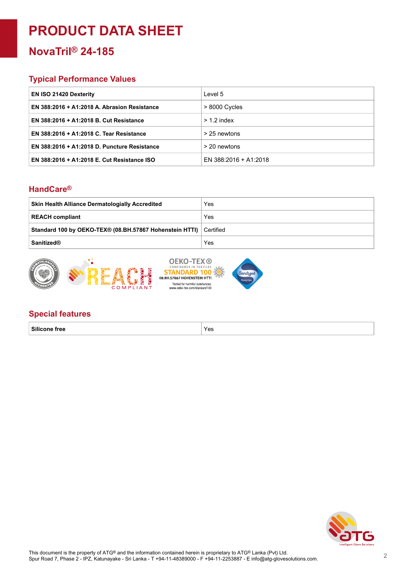## **PRODUCT DATA SHEET**

### **NovaTril® 24-185**

#### **Typical Performance Values**

| <b>EN ISO 21420 Dexterity</b>                | Level 5               |
|----------------------------------------------|-----------------------|
| EN 388:2016 + A1:2018 A. Abrasion Resistance | $>8000$ Cycles        |
| EN 388:2016 + A1:2018 B. Cut Resistance      | $> 1.2$ index         |
| EN 388:2016 + A1:2018 C. Tear Resistance     | > 25 newtons          |
| EN 388:2016 + A1:2018 D. Puncture Resistance | > 20 newtons          |
| EN 388:2016 + A1:2018 E. Cut Resistance ISO  | EN 388:2016 + A1:2018 |

#### **HandCare ®**

| <b>Skin Health Alliance Dermatologially Accredited</b>            | Yes |
|-------------------------------------------------------------------|-----|
| <b>REACH compliant</b>                                            | Yes |
| Standard 100 by OEKO-TEX® (08.BH.57867 Hohenstein HTTI) Certified |     |
| <b>Sanitized®</b>                                                 | Yes |



#### **Special features**

**Silicone free** Yes